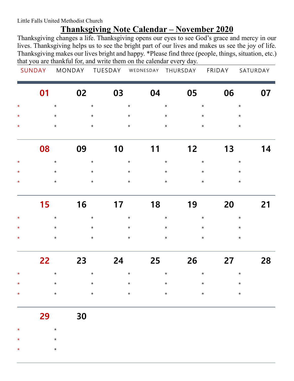Little Falls United Methodist Church

## **Thanksgiving Note Calendar – November 2020**

Thanksgiving changes a life. Thanksgiving opens our eyes to see God's grace and mercy in our lives. Thanksgiving helps us to see the bright part of our lives and makes us see the joy of life. Thanksgiving makes our lives bright and happy. \*Please find three (people, things, situation, etc.) that you are thankful for, and write them on the calendar every day.

| SUNDAY | MONDAY | TUESDAY | WEDNESDAY THURSDAY | FRIDAY | SATURDAY |
|--------|--------|---------|--------------------|--------|----------|
|        |        |         |                    |        |          |

| 01 1                                      |                    |                    |                    | 02 03 04 05         | 06                 | 07 |
|-------------------------------------------|--------------------|--------------------|--------------------|---------------------|--------------------|----|
| $\star$<br>$\star$                        | $\star$            | $\star$            | $\star$            | $\star$             | $\star$            |    |
| $\star$<br>$\star$<br>$\star$<br>$\star$  | $\star$<br>$\star$ | $\star$<br>$\star$ | $\star$<br>$\star$ | $\star$<br>$\star$  | $\star$<br>$\star$ |    |
| 08                                        | 09                 | 10                 | 11                 | 12                  | 13                 | 14 |
| $\star$<br>$\star$                        | $\star$            | $\star$            | $\star$            | $\star$             | $\star$            |    |
| $\star$<br>$\star$<br>$\star$<br>$\star$  | $\star$<br>$\star$ | $\star$<br>$\star$ | $\star$<br>$\star$ | $\star$<br>$\star$  | $\star$<br>$\star$ |    |
| 15                                        | 16                 | 17                 |                    | 19                  | 20                 | 21 |
| $\star$<br>$\star$                        | $\star$            | $\star$            | $\star$            | $\star$             | $\star$            |    |
| $\star$<br>$\star$<br>$\star$<br>$\star$  | $\star$<br>$\star$ | $\star$<br>$\star$ | $\star$<br>$\star$ | $\star$<br>$\star$  | $\star$<br>$\star$ |    |
| 22                                        | 23                 | 24                 | 25                 | 26                  | 27                 | 28 |
| $\star$<br>$\star$                        | $\star$            | $\star$            | $\star$            | $\star$             | $\star$            |    |
| $\star$<br>$\star$                        | $\star$            | $\star$            | $\star$            | $\star$             | $\star$            |    |
| $\star$<br>$\star$                        | $\star$            | $\star$            | $\star$            | $\star$ and $\star$ | $\star$            |    |
| 29                                        | 30                 |                    |                    |                     |                    |    |
| $\star$<br>$^\star$                       |                    |                    |                    |                     |                    |    |
| $\star$<br>$^\star$<br>$\star$<br>$\star$ |                    |                    |                    |                     |                    |    |